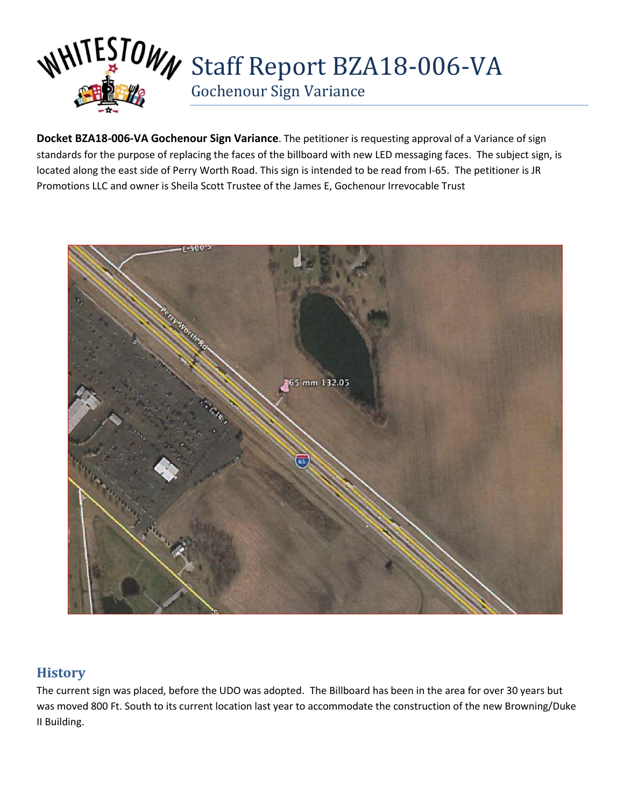

**Docket BZA18-006-VA Gochenour Sign Variance**. The petitioner is requesting approval of a Variance of sign standards for the purpose of replacing the faces of the billboard with new LED messaging faces. The subject sign, is located along the east side of Perry Worth Road. This sign is intended to be read from I-65. The petitioner is JR Promotions LLC and owner is Sheila Scott Trustee of the James E, Gochenour Irrevocable Trust



## **History**

The current sign was placed, before the UDO was adopted. The Billboard has been in the area for over 30 years but was moved 800 Ft. South to its current location last year to accommodate the construction of the new Browning/Duke II Building.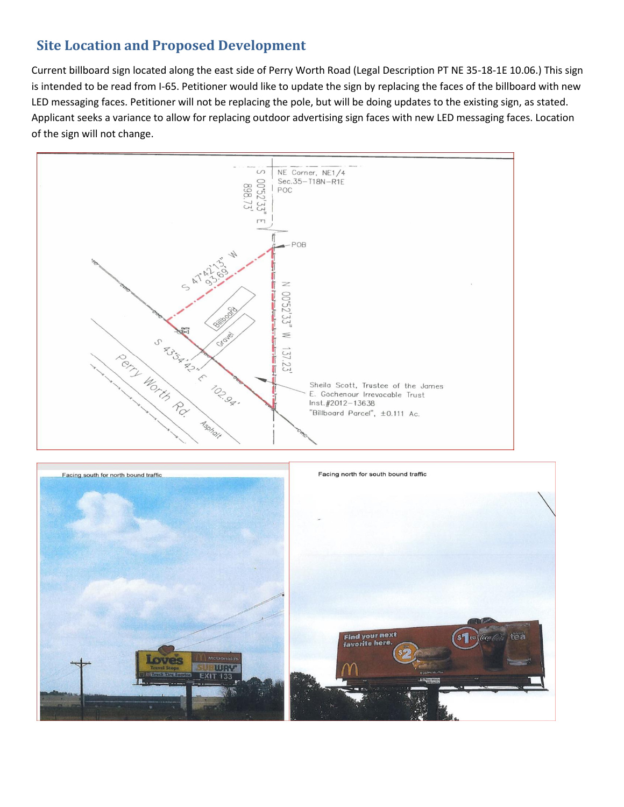# **Site Location and Proposed Development**

Current billboard sign located along the east side of Perry Worth Road (Legal Description PT NE 35-18-1E 10.06.) This sign is intended to be read from I-65. Petitioner would like to update the sign by replacing the faces of the billboard with new LED messaging faces. Petitioner will not be replacing the pole, but will be doing updates to the existing sign, as stated. Applicant seeks a variance to allow for replacing outdoor advertising sign faces with new LED messaging faces. Location of the sign will not change.